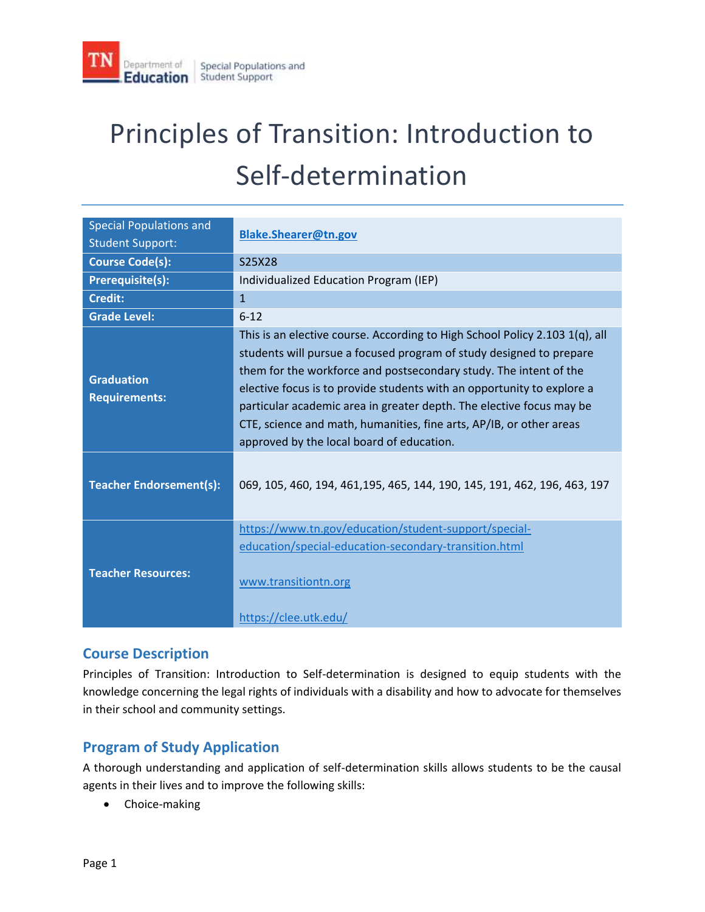

# Principles of Transition: Introduction to Self-determination

| <b>Special Populations and</b><br><b>Student Support:</b> | Blake.Shearer@tn.gov                                                                                                                                                                                                                                                                                                                                                                                                                                                                          |
|-----------------------------------------------------------|-----------------------------------------------------------------------------------------------------------------------------------------------------------------------------------------------------------------------------------------------------------------------------------------------------------------------------------------------------------------------------------------------------------------------------------------------------------------------------------------------|
| <b>Course Code(s):</b>                                    | S25X28                                                                                                                                                                                                                                                                                                                                                                                                                                                                                        |
| <b>Prerequisite(s):</b>                                   | Individualized Education Program (IEP)                                                                                                                                                                                                                                                                                                                                                                                                                                                        |
| <b>Credit:</b>                                            | $\mathbf{1}$                                                                                                                                                                                                                                                                                                                                                                                                                                                                                  |
| <b>Grade Level:</b>                                       | $6 - 12$                                                                                                                                                                                                                                                                                                                                                                                                                                                                                      |
| <b>Graduation</b><br><b>Requirements:</b>                 | This is an elective course. According to High School Policy 2.103 1(q), all<br>students will pursue a focused program of study designed to prepare<br>them for the workforce and postsecondary study. The intent of the<br>elective focus is to provide students with an opportunity to explore a<br>particular academic area in greater depth. The elective focus may be<br>CTE, science and math, humanities, fine arts, AP/IB, or other areas<br>approved by the local board of education. |
| <b>Teacher Endorsement(s):</b>                            | 069, 105, 460, 194, 461, 195, 465, 144, 190, 145, 191, 462, 196, 463, 197                                                                                                                                                                                                                                                                                                                                                                                                                     |
| <b>Teacher Resources:</b>                                 | https://www.tn.gov/education/student-support/special-<br>education/special-education-secondary-transition.html<br>www.transitiontn.org<br>https://clee.utk.edu/                                                                                                                                                                                                                                                                                                                               |

# **Course Description**

 Principles of Transition: Introduction to Self-determination is designed to equip students with the knowledge concerning the legal rights of individuals with a disability and how to advocate for themselves in their school and community settings.

# **Program of Study Application**

 A thorough understanding and application of self-determination skills allows students to be the causal agents in their lives and to improve the following skills:

• Choice-making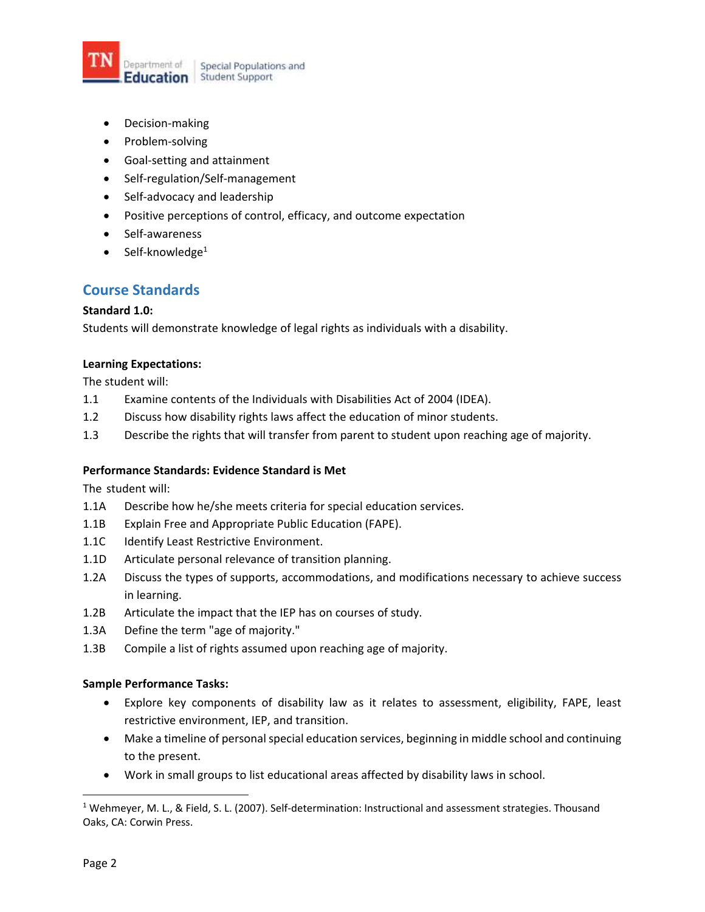

- Decision-making
- Problem-solving
- Goal-setting and attainment
- Self-regulation/Self-management
- Self-advocacy and leadership
- Positive perceptions of control, efficacy, and outcome expectation
- Self-awareness
- $\bullet$  Self-knowledge<sup>1</sup>

# **Course Standards**

# **Standard 1.0:**

Students will demonstrate knowledge of legal rights as individuals with a disability.

#### **Learning Expectations:**

The student will:

- 1.1 Examine contents of the Individuals with Disabilities Act of 2004 (IDEA).
- 1.2 Discuss how disability rights laws affect the education of minor students.
- 1.3 Describe the rights that will transfer from parent to student upon reaching age of majority.

# **Performance Standards: Evidence Standard is Met**

The student will:

- $1.1A$ Describe how he/she meets criteria for special education services.
- $1.1B$ Explain Free and Appropriate Public Education (FAPE).
- 1.1C Identify Least Restrictive Environment.
- 1.1D Articulate personal relevance of transition planning.
- 1.2A Discuss the types of supports, accommodations, and modifications necessary to achieve success in learning.
- 1.2B Articulate the impact that the IEP has on courses of study.
- 1.3A Define the term "age of majority."
- 1.3B Compile a list of rights assumed upon reaching age of majority.

#### **Sample Performance Tasks:**

- Explore key components of disability law as it relates to assessment, eligibility, FAPE, least restrictive environment, IEP, and transition.
- Make a timeline of personal special education services, beginning in middle school and continuing to the present.
- Work in small groups to list educational areas affected by disability laws in school.

 $\overline{\phantom{a}}$ 

<sup>1</sup> Wehmeyer, M. L., & Field, S. L. (2007). Self-determination: Instructional and assessment strategies. Thousand Oaks, CA: Corwin Press.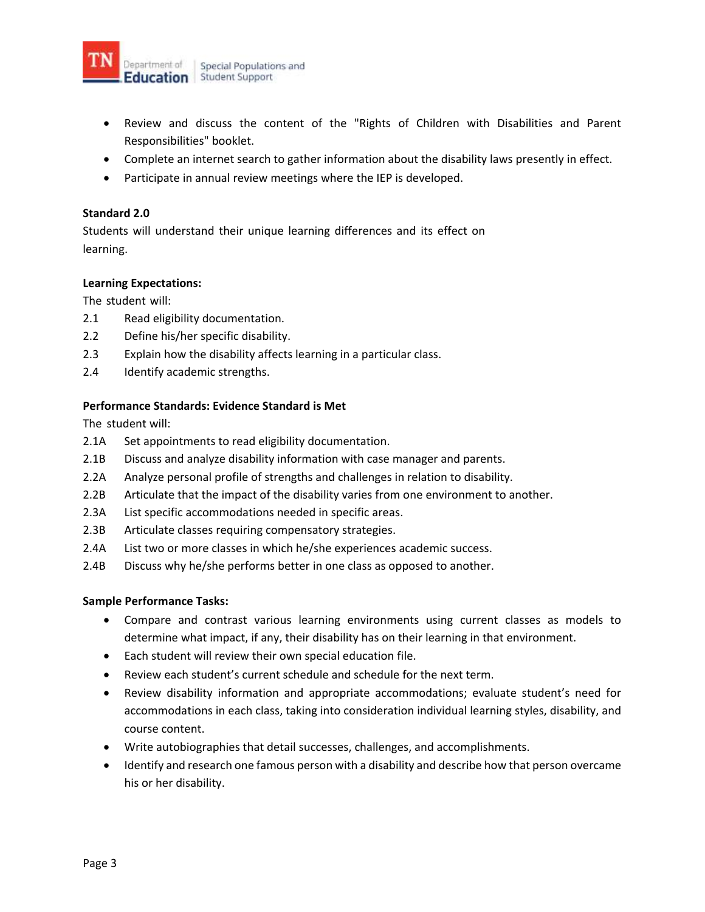

- Review and discuss the content of the "Rights of Children with Disabilities and Parent Responsibilities" booklet.
- Complete an internet search to gather information about the disability laws presently in effect.
- Participate in annual review meetings where the IEP is developed.

#### **Standard 2.0**

 Students will understand their unique learning differences and its effect on learning.

# **Learning Expectations:**

The student will:

- 2.1 Read eligibility documentation.
- 2.2 Define his/her specific disability.
- 2.3 Explain how the disability affects learning in a particular class.
- 2.4 Identify academic strengths.

# **Performance Standards: Evidence Standard is Met**

The student will:

- 2.1A Set appointments to read eligibility documentation.
- 2.1B Discuss and analyze disability information with case manager and parents.
- 2.2A Analyze personal profile of strengths and challenges in relation to disability.
- 2.2B Articulate that the impact of the disability varies from one environment to another.
- 2.3A List specific accommodations needed in specific areas.
- 2.3B Articulate classes requiring compensatory strategies.
- 2.4A List two or more classes in which he/she experiences academic success.
- 2.4B Discuss why he/she performs better in one class as opposed to another.

# **Sample Performance Tasks:**

- Compare and contrast various learning environments using current classes as models to determine what impact, if any, their disability has on their learning in that environment.
- Each student will review their own special education file.
- Review each student's current schedule and schedule for the next term.
- Review disability information and appropriate accommodations; evaluate student's need for accommodations in each class, taking into consideration individual learning styles, disability, and course content.
- Write autobiographies that detail successes, challenges, and accomplishments.
- his or her disability. Identify and research one famous person with a disability and describe how that person overcame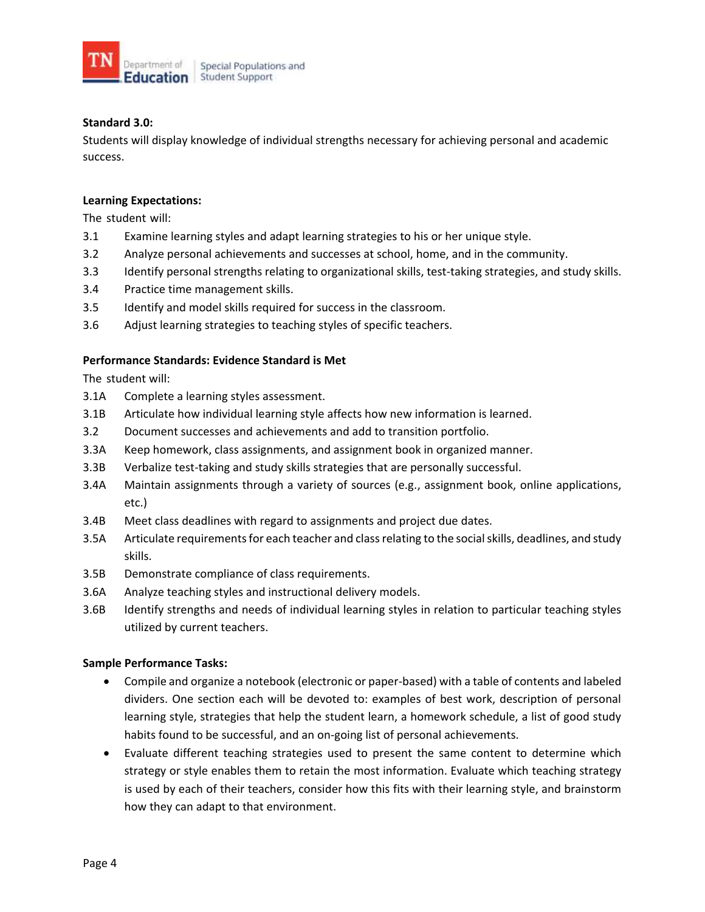

# **Standard 3.0:**

Students will display knowledge of individual strengths necessary for achieving personal and academic success.

#### **Learning Expectations:**

The student will:

- 3.1 Examine learning styles and adapt learning strategies to his or her unique style.
- 3.2 Analyze personal achievements and successes at school, home, and in the community.
- 3.3 Identify personal strengths relating to organizational skills, test-taking strategies, and study skills.
- 3.4 Practice time management skills.
- 3.5 Identify and model skills required for success in the classroom.
- 3.6 Adjust learning strategies to teaching styles of specific teachers.

# **Performance Standards: Evidence Standard is Met**

The student will:

- 3.1A Complete a learning styles assessment.
- 3.1B Articulate how individual learning style affects how new information is learned.
- 3.2 Document successes and achievements and add to transition portfolio.
- 3.3A Keep homework, class assignments, and assignment book in organized manner.
- 3.3B Verbalize test-taking and study skills strategies that are personally successful.
- 3.4A Maintain assignments through a variety of sources (e.g., assignment book, online applications, etc.)
- $3.4B$ Meet class deadlines with regard to assignments and project due dates.
- 3.5A Articulate requirements for each teacher and class relating to the social skills, deadlines, and study skills.
- 3.5B Demonstrate compliance of class requirements.
- 3.6A Analyze teaching styles and instructional delivery models.
- 3.6B Identify strengths and needs of individual learning styles in relation to particular teaching styles utilized by current teachers.

#### **Sample Performance Tasks:**

- Compile and organize a notebook (electronic or paper-based) with a table of contents and labeled dividers. One section each will be devoted to: examples of best work, description of personal learning style, strategies that help the student learn, a homework schedule, a list of good study habits found to be successful, and an on-going list of personal achievements.
- Evaluate different teaching strategies used to present the same content to determine which is used by each of their teachers, consider how this fits with their learning style, and brainstorm strategy or style enables them to retain the most information. Evaluate which teaching strategy how they can adapt to that environment.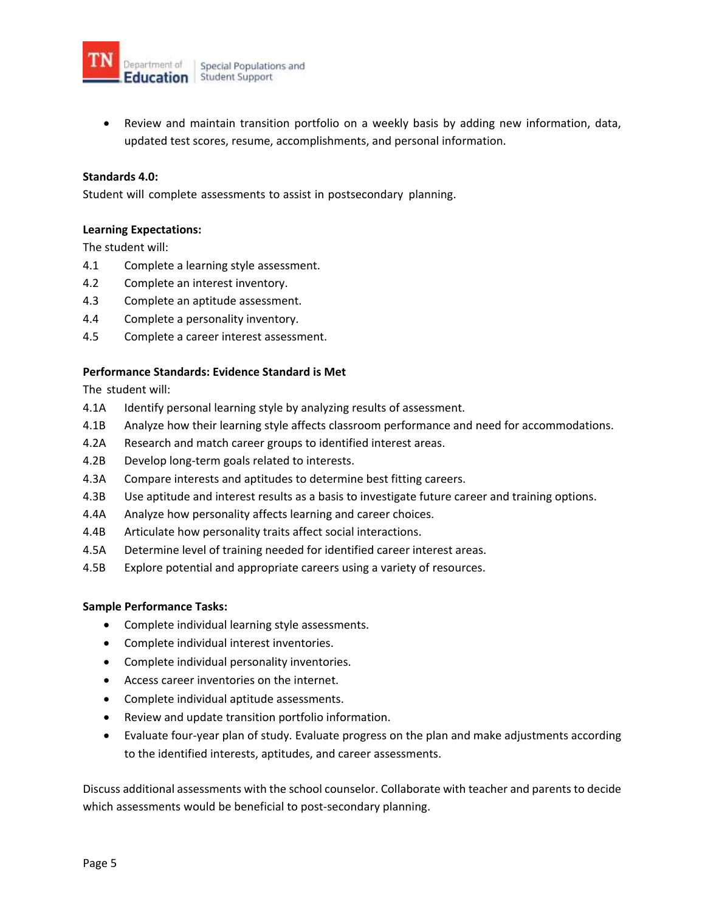

 Review and maintain transition portfolio on a weekly basis by adding new information, data, updated test scores, resume, accomplishments, and personal information.

#### **Standards 4.0:**

Student will complete assessments to assist in postsecondary planning.

#### **Learning Expectations:**

The student will:

- 4.1 Complete a learning style assessment.
- 4.2 Complete an interest inventory.
- 4.3 Complete an aptitude assessment.
- 4.4 Complete a personality inventory.
- 4.5 Complete a career interest assessment.

#### **Performance Standards: Evidence Standard is Met**

The student will:

- 4.1A Identify personal learning style by analyzing results of assessment.
- 4.1B Analyze how their learning style affects classroom performance and need for accommodations.
- 4.2A Research and match career groups to identified interest areas.
- 4.2B Develop long-term goals related to interests.
- 4.3A Compare interests and aptitudes to determine best fitting careers.
- 4.3B Use aptitude and interest results as a basis to investigate future career and training options.
- 4.4A Analyze how personality affects learning and career choices.
- 4.4B Articulate how personality traits affect social interactions.
- 4.5A Determine level of training needed for identified career interest areas.
- 4.5B Explore potential and appropriate careers using a variety of resources.

# **Sample Performance Tasks:**

- Complete individual learning style assessments.
- Complete individual interest inventories.
- Complete individual personality inventories.
- Access career inventories on the internet.
- Complete individual aptitude assessments.
- Review and update transition portfolio information.
- Evaluate four-year plan of study. Evaluate progress on the plan and make adjustments according to the identified interests, aptitudes, and career assessments.

Discuss additional assessments with the school counselor. Collaborate with teacher and parents to decide which assessments would be beneficial to post-secondary planning.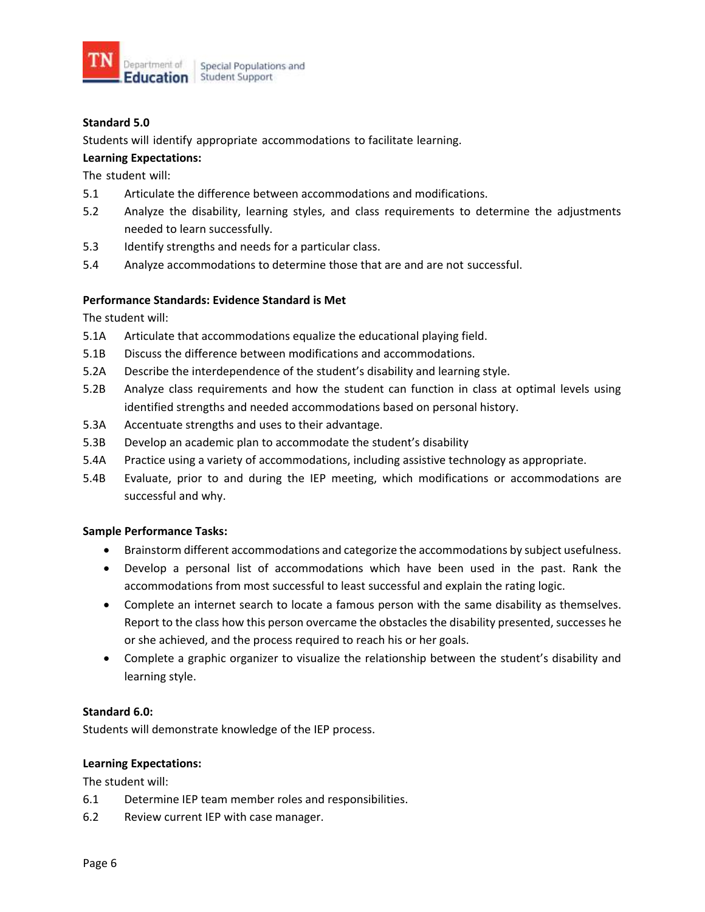

# **Standard 5.0**

Students will identify appropriate accommodations to facilitate learning.

# **Learning Expectations:**

The student will:

- 5.1 Articulate the difference between accommodations and modifications.
- $5.2$ Analyze the disability, learning styles, and class requirements to determine the adjustments needed to learn successfully.
- 5.3 Identify strengths and needs for a particular class.
- 5.4 Analyze accommodations to determine those that are and are not successful.

# **Performance Standards: Evidence Standard is Met**

The student will:

- 5.1A Articulate that accommodations equalize the educational playing field.
- 5.1B Discuss the difference between modifications and accommodations.
- $5.2A$ Describe the interdependence of the student's disability and learning style.
- $5.2B$ Analyze class requirements and how the student can function in class at optimal levels using identified strengths and needed accommodations based on personal history.
- 5.3A Accentuate strengths and uses to their advantage.
- $5.3B$ Develop an academic plan to accommodate the student's disability
- 5.4A Practice using a variety of accommodations, including assistive technology as appropriate.
- 5.4B Evaluate, prior to and during the IEP meeting, which modifications or accommodations are successful and why.

# **Sample Performance Tasks:**

- Brainstorm different accommodations and categorize the accommodations by subject usefulness.
- Develop a personal list of accommodations which have been used in the past. Rank the accommodations from most successful to least successful and explain the rating logic.
- Complete an internet search to locate a famous person with the same disability as themselves. Report to the class how this person overcame the obstacles the disability presented, successes he or she achieved, and the process required to reach his or her goals.
- Complete a graphic organizer to visualize the relationship between the student's disability and learning style.

# **Standard 6.0:**

Students will demonstrate knowledge of the IEP process.

# **Learning Expectations:**

The student will:

- 6.1 Determine IEP team member roles and responsibilities.
- 6.2 Review current IEP with case manager.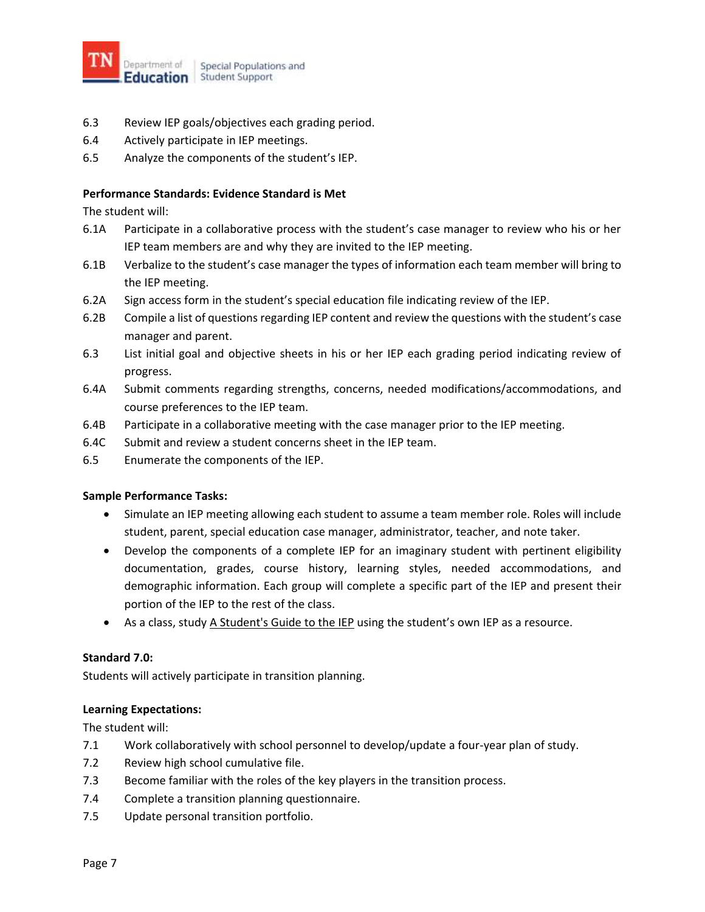

- 6.3 Review IEP goals/objectives each grading period.
- 6.4 Actively participate in IEP meetings.
- 6.5 Analyze the components of the student's IEP.

# **Performance Standards: Evidence Standard is Met**

The student will:

- 6.1A Participate in a collaborative process with the student's case manager to review who his or her IEP team members are and why they are invited to the IEP meeting.
- 6.1B Verbalize to the student's case manager the types of information each team member will bring to the IEP meeting.
- 6.2A Sign access form in the student's special education file indicating review of the IEP.
- $6.2B$ Compile a list of questions regarding IEP content and review the questions with the student's case manager and parent.
- 6.3 List initial goal and objective sheets in his or her IEP each grading period indicating review of progress.
- $6.4A$ Submit comments regarding strengths, concerns, needed modifications/accommodations, and course preferences to the IEP team.
- 6.4B Participate in a collaborative meeting with the case manager prior to the IEP meeting.
- 6.4C Submit and review a student concerns sheet in the IEP team.
- 6.5 Enumerate the components of the IEP.

#### **Sample Performance Tasks:**

- Simulate an IEP meeting allowing each student to assume a team member role. Roles will include student, parent, special education case manager, administrator, teacher, and note taker.
- documentation, grades, course history, learning styles, needed accommodations, and demographic information. Each group will complete a specific part of the IEP and present their Develop the components of a complete IEP for an imaginary student with pertinent eligibility portion of the IEP to the rest of the class.
- As a class, study A Student's Guide to the IEP using the student's own IEP as a resource.

# **Standard 7.0:**

Students will actively participate in transition planning.

#### **Learning Expectations:**

The student will:

- 7.1 Work collaboratively with school personnel to develop/update a four-year plan of study.
- 7.2 Review high school cumulative file.
- 7.3 Become familiar with the roles of the key players in the transition process.
- 7.4 Complete a transition planning questionnaire.
- 7.5 Update personal transition portfolio.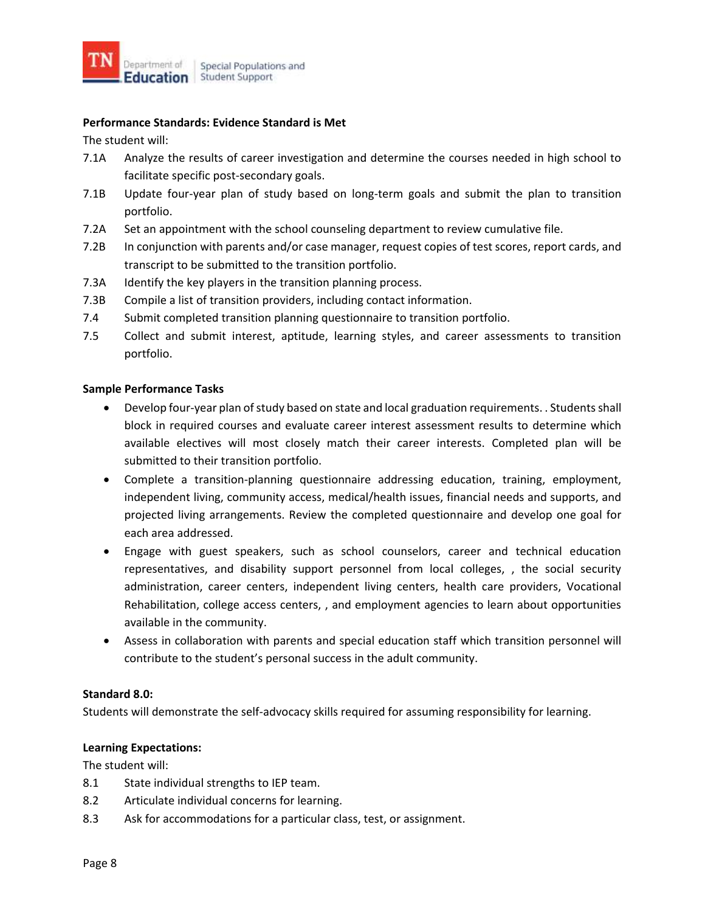

#### **Performance Standards: Evidence Standard is Met**

The student will:

- 7.1A Analyze the results of career investigation and determine the courses needed in high school to facilitate specific post-secondary goals.
- 7.1B Update four-year plan of study based on long-term goals and submit the plan to transition portfolio.
- 7.2A Set an appointment with the school counseling department to review cumulative file.
- 7.2B In conjunction with parents and/or case manager, request copies of test scores, report cards, and transcript to be submitted to the transition portfolio.
- 7.3A Identify the key players in the transition planning process.
- 7.3B Compile a list of transition providers, including contact information.
- 7.4 Submit completed transition planning questionnaire to transition portfolio.
- 7.5 Collect and submit interest, aptitude, learning styles, and career assessments to transition portfolio.

#### **Sample Performance Tasks**

- Develop four-year plan of study based on state and local graduation requirements. . Students shall block in required courses and evaluate career interest assessment results to determine which submitted to their transition portfolio. available electives will most closely match their career interests. Completed plan will be
- projected living arrangements. Review the completed questionnaire and develop one goal for Complete a transition-planning questionnaire addressing education, training, employment, independent living, community access, medical/health issues, financial needs and supports, and each area addressed.
- Engage with guest speakers, such as school counselors, career and technical education Rehabilitation, college access centers, , and employment agencies to learn about opportunities representatives, and disability support personnel from local colleges, , the social security administration, career centers, independent living centers, health care providers, Vocational available in the community.
- Assess in collaboration with parents and special education staff which transition personnel will contribute to the student's personal success in the adult community.

#### **Standard 8.0:**

Students will demonstrate the self-advocacy skills required for assuming responsibility for learning.

#### **Learning Expectations:**

The student will:

- 8.1 State individual strengths to IEP team.
- 8.2 Articulate individual concerns for learning.
- 8.3 Ask for accommodations for a particular class, test, or assignment.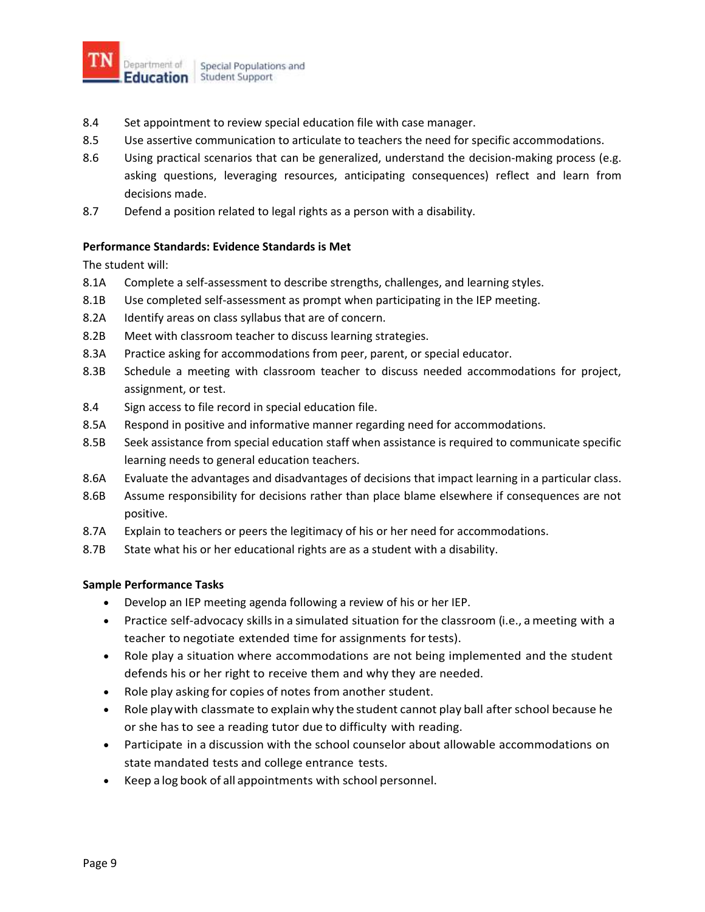

- 8.4 Set appointment to review special education file with case manager.
- 8.5 Use assertive communication to articulate to teachers the need for specific accommodations.
- 8.6 Using practical scenarios that can be generalized, understand the decision-making process (e.g. asking questions, leveraging resources, anticipating consequences) reflect and learn from decisions made.
- 8.7 Defend a position related to legal rights as a person with a disability.

# **Performance Standards: Evidence Standards is Met**

The student will:

- 8.1A Complete a self-assessment to describe strengths, challenges, and learning styles.
- 8.1B Use completed self-assessment as prompt when participating in the IEP meeting.
- 8.2A Identify areas on class syllabus that are of concern.
- 8.2B Meet with classroom teacher to discuss learning strategies.
- 8.3A Practice asking for accommodations from peer, parent, or special educator.
- 8.3B Schedule a meeting with classroom teacher to discuss needed accommodations for project, assignment, or test.
- 8.4 Sign access to file record in special education file.
- 8.5A Respond in positive and informative manner regarding need for accommodations.
- 8.5B Seek assistance from special education staff when assistance is required to communicate specific learning needs to general education teachers.
- 8.6A Evaluate the advantages and disadvantages of decisions that impact learning in a particular class.
- 8.6B Assume responsibility for decisions rather than place blame elsewhere if consequences are not positive.
- 8.7A Explain to teachers or peers the legitimacy of his or her need for accommodations.
- 8.7B State what his or her educational rights are as a student with a disability.

# **Sample Performance Tasks**

- Develop an IEP meeting agenda following a review of his or her IEP.
- Practice self-advocacy skills in a simulated situation for the classroom (i.e., a meeting with a teacher to negotiate extended time for assignments for tests).
- Role play a situation where accommodations are not being implemented and the student defends his or her right to receive them and why they are needed.
- Role play asking for copies of notes from another student.
- Role play with classmate to explain why the student cannot play ball after school because he or she has to see a reading tutor due to difficulty with reading.
- Participate in a discussion with the school counselor about allowable accommodations on state mandated tests and college entrance tests.
- Keep a log book of all appointments with school personnel.